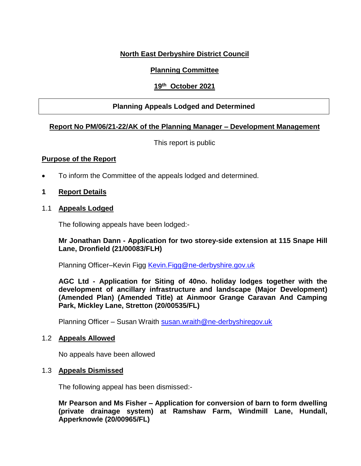# **North East Derbyshire District Council**

## **Planning Committee**

## **19th October 2021**

## **Planning Appeals Lodged and Determined**

### **Report No PM/06/21-22/AK of the Planning Manager – Development Management**

This report is public

#### **Purpose of the Report**

To inform the Committee of the appeals lodged and determined.

### **1 Report Details**

1.1 **Appeals Lodged**

The following appeals have been lodged:-

### **Mr Jonathan Dann - Application for two storey-side extension at 115 Snape Hill Lane, Dronfield (21/00083/FLH)**

Planning Officer-Kevin Figg [Kevin.Figg@ne-derbyshire.gov.uk](mailto:Kevin.Figg@ne-derbyshire.gov.uk)

**AGC Ltd - Application for Siting of 40no. holiday lodges together with the development of ancillary infrastructure and landscape (Major Development) (Amended Plan) (Amended Title) at Ainmoor Grange Caravan And Camping Park, Mickley Lane, Stretton (20/00535/FL)**

Planning Officer – Susan Wraith [susan.wraith@ne-derbyshiregov.uk](mailto:susan.wraith@ne-derbyshiregov.uk)

#### 1.2 **Appeals Allowed**

No appeals have been allowed

#### 1.3 **Appeals Dismissed**

The following appeal has been dismissed:-

**Mr Pearson and Ms Fisher – Application for conversion of barn to form dwelling (private drainage system) at Ramshaw Farm, Windmill Lane, Hundall, Apperknowle (20/00965/FL)**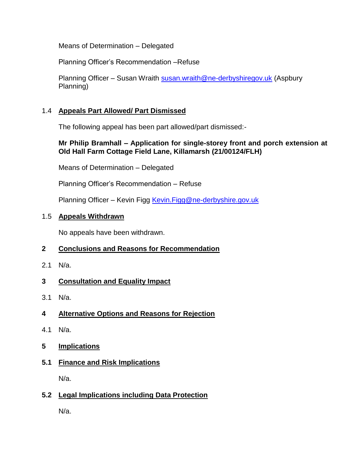Means of Determination – Delegated

Planning Officer's Recommendation –Refuse

Planning Officer – Susan Wraith [susan.wraith@ne-derbyshiregov.uk](mailto:susan.wraith@ne-derbyshiregov.uk) (Aspbury Planning)

# 1.4 **Appeals Part Allowed/ Part Dismissed**

The following appeal has been part allowed/part dismissed:-

# **Mr Philip Bramhall – Application for single-storey front and porch extension at Old Hall Farm Cottage Field Lane, Killamarsh (21/00124/FLH)**

Means of Determination – Delegated

Planning Officer's Recommendation – Refuse

Planning Officer – Kevin Figg Kevin. Figg@ne-derbyshire.gov.uk

## 1.5 **Appeals Withdrawn**

No appeals have been withdrawn.

# **2 Conclusions and Reasons for Recommendation**

2.1 N/a.

# **3 Consultation and Equality Impact**

3.1 N/a.

# **4 Alternative Options and Reasons for Rejection**

- 4.1 N/a.
- **5 Implications**

# **5.1 Finance and Risk Implications**

N/a.

# **5.2 Legal Implications including Data Protection**

N/a.